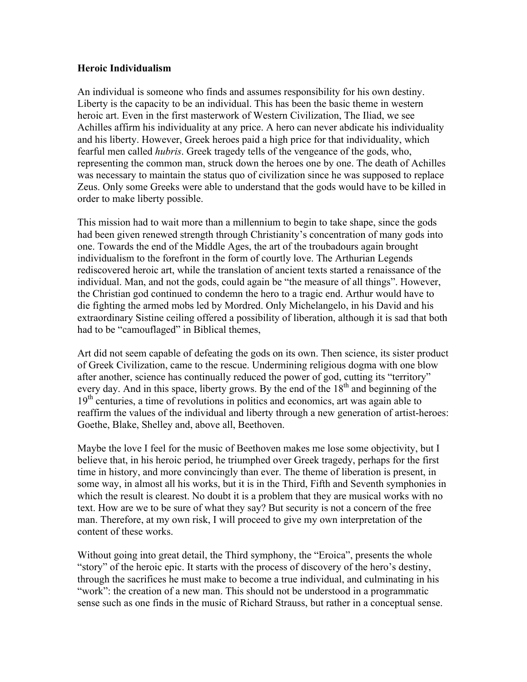## Heroic Individualism

An individual is someone who finds and assumes responsibility for his own destiny. Liberty is the capacity to be an individual. This has been the basic theme in western heroic art. Even in the first masterwork of Western Civilization, The Iliad, we see Achilles affirm his individuality at any price. A hero can never abdicate his individuality and his liberty. However, Greek heroes paid a high price for that individuality, which fearful men called *hubris*. Greek tragedy tells of the vengeance of the gods, who, representing the common man, struck down the heroes one by one. The death of Achilles was necessary to maintain the status quo of civilization since he was supposed to replace Zeus. Only some Greeks were able to understand that the gods would have to be killed in order to make liberty possible.

This mission had to wait more than a millennium to begin to take shape, since the gods had been given renewed strength through Christianity's concentration of many gods into one. Towards the end of the Middle Ages, the art of the troubadours again brought individualism to the forefront in the form of courtly love. The Arthurian Legends rediscovered heroic art, while the translation of ancient texts started a renaissance of the individual. Man, and not the gods, could again be "the measure of all things". However, the Christian god continued to condemn the hero to a tragic end. Arthur would have to die fighting the armed mobs led by Mordred. Only Michelangelo, in his David and his extraordinary Sistine ceiling offered a possibility of liberation, although it is sad that both had to be "camouflaged" in Biblical themes,

Art did not seem capable of defeating the gods on its own. Then science, its sister product of Greek Civilization, came to the rescue. Undermining religious dogma with one blow after another, science has continually reduced the power of god, cutting its "territory" every day. And in this space, liberty grows. By the end of the  $18<sup>th</sup>$  and beginning of the  $19<sup>th</sup>$  centuries, a time of revolutions in politics and economics, art was again able to reaffirm the values of the individual and liberty through a new generation of artist-heroes: Goethe, Blake, Shelley and, above all, Beethoven.

Maybe the love I feel for the music of Beethoven makes me lose some objectivity, but I believe that, in his heroic period, he triumphed over Greek tragedy, perhaps for the first time in history, and more convincingly than ever. The theme of liberation is present, in some way, in almost all his works, but it is in the Third, Fifth and Seventh symphonies in which the result is clearest. No doubt it is a problem that they are musical works with no text. How are we to be sure of what they say? But security is not a concern of the free man. Therefore, at my own risk, I will proceed to give my own interpretation of the content of these works.

Without going into great detail, the Third symphony, the "Eroica", presents the whole "story" of the heroic epic. It starts with the process of discovery of the hero's destiny, through the sacrifices he must make to become a true individual, and culminating in his "work": the creation of a new man. This should not be understood in a programmatic sense such as one finds in the music of Richard Strauss, but rather in a conceptual sense.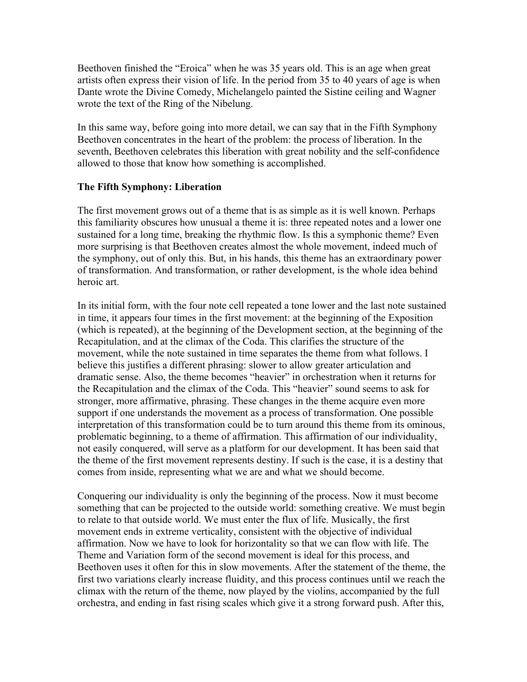Beethoven finished the "Eroica" when he was 35 years old. This is an age when great artists often express their vision of life. In the period from 35 to 40 years of age is when Dante wrote the Divine Comedy, Michelangelo painted the Sistine ceiling and Wagner wrote the text of the Ring of the Nibelung.

In this same way, before going into more detail, we can say that in the Fifth Symphony Beethoven concentrates in the heart of the problem: the process of liberation. In the seventh, Beethoven celebrates this liberation with great nobility and the self-confidence allowed to those that know how something is accomplished.

## The Fifth Symphony: Liberation

The first movement grows out of a theme that is as simple as it is well known. Perhaps this familiarity obscures how unusual a theme it is: three repeated notes and a lower one sustained for a long time, breaking the rhythmic flow. Is this a symphonic theme? Even more surprising is that Beethoven creates almost the whole movement, indeed much of the symphony, out of only this. But, in his hands, this theme has an extraordinary power of transformation. And transformation, or rather development, is the whole idea behind heroic art.

In its initial form, with the four note cell repeated a tone lower and the last note sustained in time, it appears four times in the first movement: at the beginning of the Exposition (which is repeated), at the beginning of the Development section, at the beginning of the Recapitulation, and at the climax of the Coda. This clarifies the structure of the movement, while the note sustained in time separates the theme from what follows. I believe this justifies a different phrasing: slower to allow greater articulation and dramatic sense. Also, the theme becomes "heavier" in orchestration when it returns for the Recapitulation and the climax of the Coda. This "heavier" sound seems to ask for stronger, more affirmative, phrasing. These changes in the theme acquire even more support if one understands the movement as a process of transformation. One possible interpretation of this transformation could be to turn around this theme from its ominous, problematic beginning, to a theme of affirmation. This affirmation of our individuality, not easily conquered, will serve as a platform for our development. It has been said that the theme of the first movement represents destiny. If such is the case, it is a destiny that comes from inside, representing what we are and what we should become.

Conquering our individuality is only the beginning of the process. Now it must become something that can be projected to the outside world: something creative. We must begin to relate to that outside world. We must enter the flux of life. Musically, the first movement ends in extreme verticality, consistent with the objective of individual affirmation. Now we have to look for horizontality so that we can flow with life. The Theme and Variation form of the second movement is ideal for this process, and Beethoven uses it often for this in slow movements. After the statement of the theme, the first two variations clearly increase fluidity, and this process continues until we reach the climax with the return of the theme, now played by the violins, accompanied by the full orchestra, and ending in fast rising scales which give it a strong forward push. After this,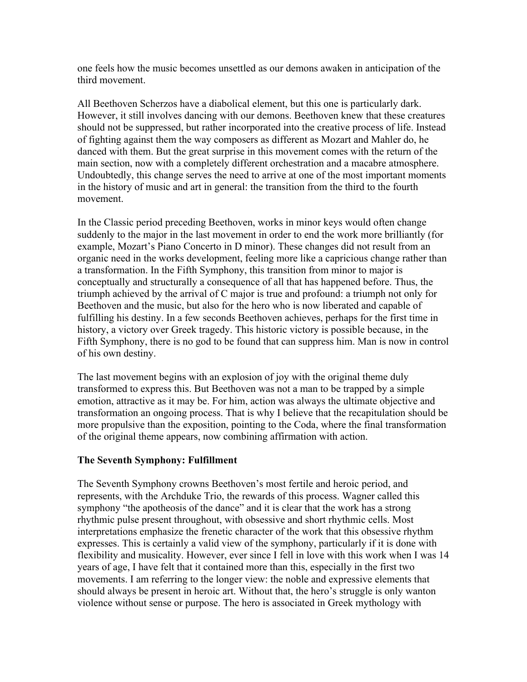one feels how the music becomes unsettled as our demons awaken in anticipation of the third movement.

All Beethoven Scherzos have a diabolical element, but this one is particularly dark. However, it still involves dancing with our demons. Beethoven knew that these creatures should not be suppressed, but rather incorporated into the creative process of life. Instead of fighting against them the way composers as different as Mozart and Mahler do, he danced with them. But the great surprise in this movement comes with the return of the main section, now with a completely different orchestration and a macabre atmosphere. Undoubtedly, this change serves the need to arrive at one of the most important moments in the history of music and art in general: the transition from the third to the fourth movement.

In the Classic period preceding Beethoven, works in minor keys would often change suddenly to the major in the last movement in order to end the work more brilliantly (for example, Mozart's Piano Concerto in D minor). These changes did not result from an organic need in the works development, feeling more like a capricious change rather than a transformation. In the Fifth Symphony, this transition from minor to major is conceptually and structurally a consequence of all that has happened before. Thus, the triumph achieved by the arrival of C major is true and profound: a triumph not only for Beethoven and the music, but also for the hero who is now liberated and capable of fulfilling his destiny. In a few seconds Beethoven achieves, perhaps for the first time in history, a victory over Greek tragedy. This historic victory is possible because, in the Fifth Symphony, there is no god to be found that can suppress him. Man is now in control of his own destiny.

The last movement begins with an explosion of joy with the original theme duly transformed to express this. But Beethoven was not a man to be trapped by a simple emotion, attractive as it may be. For him, action was always the ultimate objective and transformation an ongoing process. That is why I believe that the recapitulation should be more propulsive than the exposition, pointing to the Coda, where the final transformation of the original theme appears, now combining affirmation with action.

## The Seventh Symphony: Fulfillment

The Seventh Symphony crowns Beethoven's most fertile and heroic period, and represents, with the Archduke Trio, the rewards of this process. Wagner called this symphony "the apotheosis of the dance" and it is clear that the work has a strong rhythmic pulse present throughout, with obsessive and short rhythmic cells. Most interpretations emphasize the frenetic character of the work that this obsessive rhythm expresses. This is certainly a valid view of the symphony, particularly if it is done with flexibility and musicality. However, ever since I fell in love with this work when I was 14 years of age, I have felt that it contained more than this, especially in the first two movements. I am referring to the longer view: the noble and expressive elements that should always be present in heroic art. Without that, the hero's struggle is only wanton violence without sense or purpose. The hero is associated in Greek mythology with